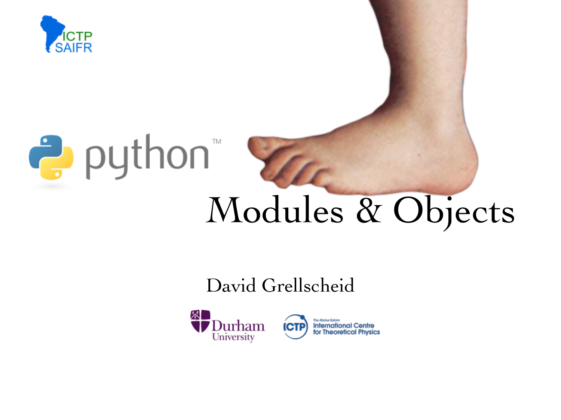



# Modules & Objects

#### David Grellscheid

Tre

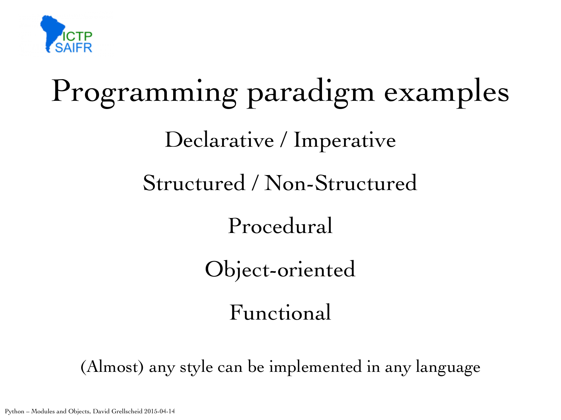

# Programming paradigm examples Declarative / Imperative Structured / Non-Structured Procedural Object-oriented Functional

(Almost) any style can be implemented in any language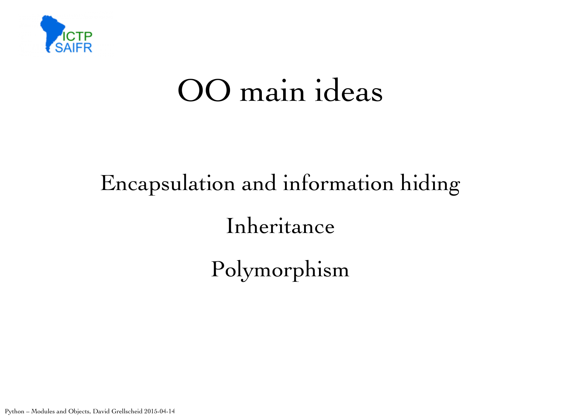

### OO main ideas

# Encapsulation and information hiding Inheritance Polymorphism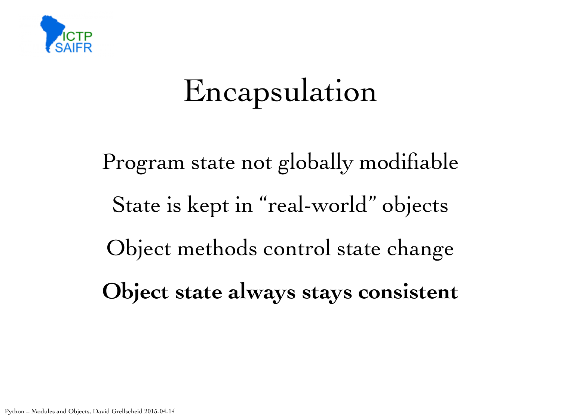

# Encapsulation

Program state not globally modifiable State is kept in "real-world" objects Object methods control state change **Object state always stays consistent**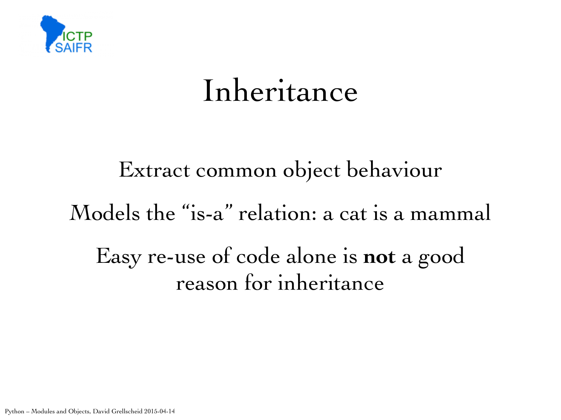

### Inheritance

### Extract common object behaviour Models the "is-a" relation: a cat is a mammal Easy re-use of code alone is **not** a good reason for inheritance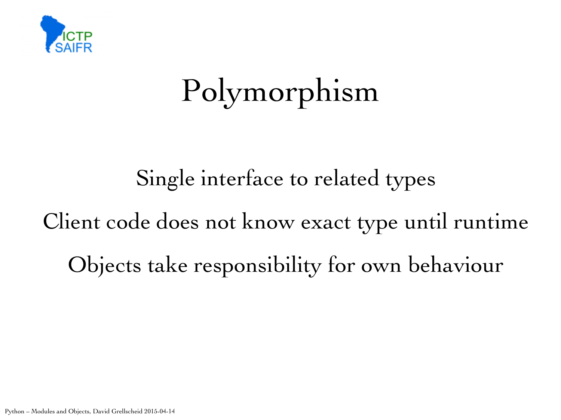

# Polymorphism

Single interface to related types Client code does not know exact type until runtime Objects take responsibility for own behaviour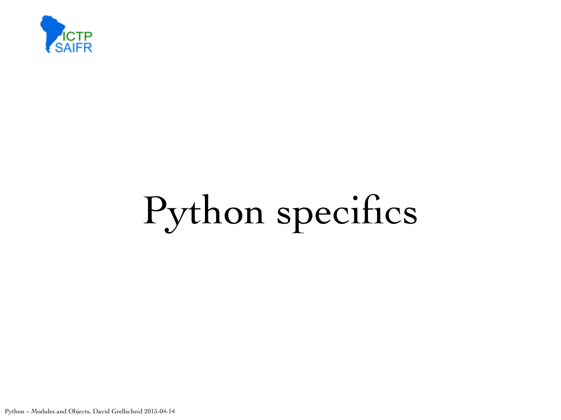

# Python specifics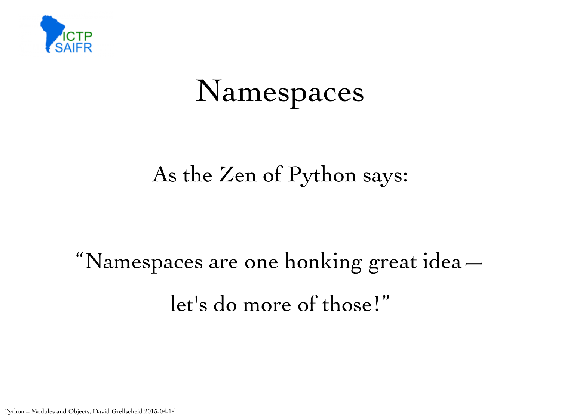

### Namespaces

#### As the Zen of Python says:

# "Namespaces are one honking great idea let's do more of those!"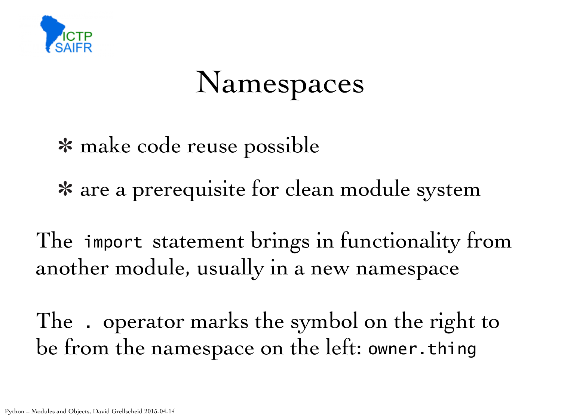

### Namespaces

make code reuse possible

are a prerequisite for clean module system

The import statement brings in functionality from another module, usually in a new namespace

The . operator marks the symbol on the right to be from the namespace on the left: owner.thing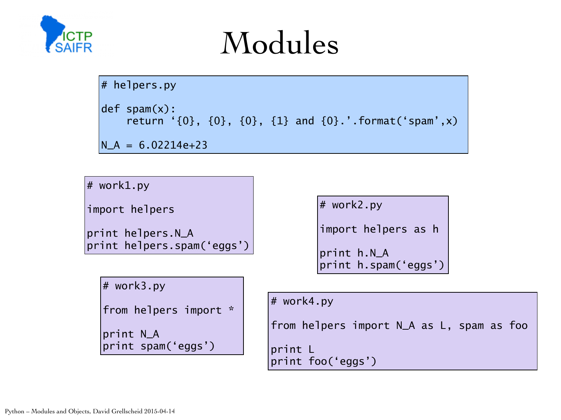

### Modules

```
\# helpers.py
def spam(x): 
     return '{0}, {0}, {0}, {1} and {0}.'.format('spam',x) 
N_A = 6.02214e+23
```
# work1.py

import helpers

```
print helpers.N_A 
print helpers.spam('eggs')
```

```
# work3.py
```
from helpers import \*

print N\_A print spam('eggs') # work2.py

import helpers as h

```
print h.N_A 
print h.spam('eggs')
```
# work4.py

from helpers import N\_A as L, spam as foo

print L print foo('eggs')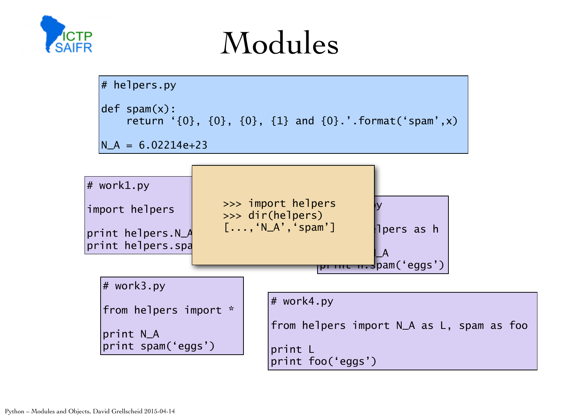

### Modules

```
\# helpers.py
def spam(x): 
     return '{0}, {0}, {0}, {1} and {0}.'.format('spam',x) 
N_A = 6.02214e+23
```
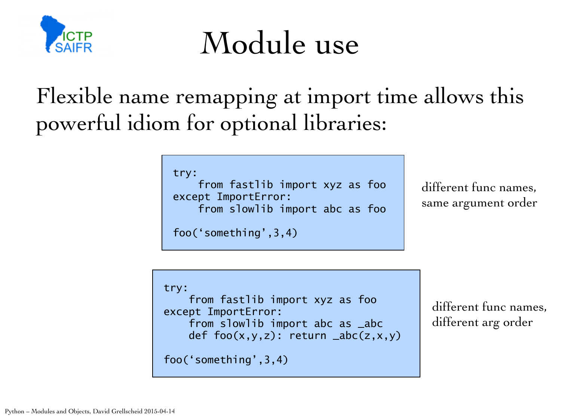

Module use

Flexible name remapping at import time allows this powerful idiom for optional libraries:

try:

 from fastlib import xyz as foo except ImportError: from slowlib import abc as foo

foo('something',3,4)

different func names, same argument order

```
try: 
     from fastlib import xyz as foo 
except ImportError: 
     from slowlib import abc as _abc 
    def foo(x,y,z): return abc(z,x,y)foo('something',3,4)
```
different func names, different arg order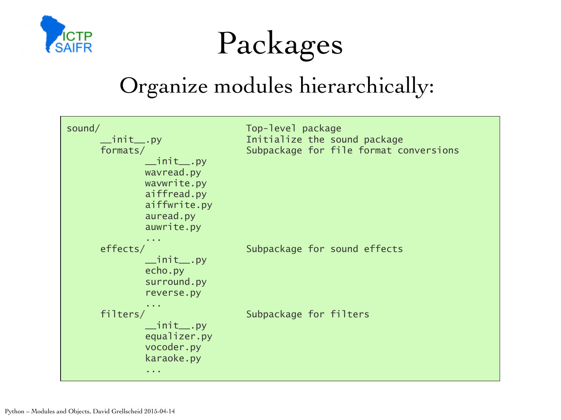



#### Organize modules hierarchically:

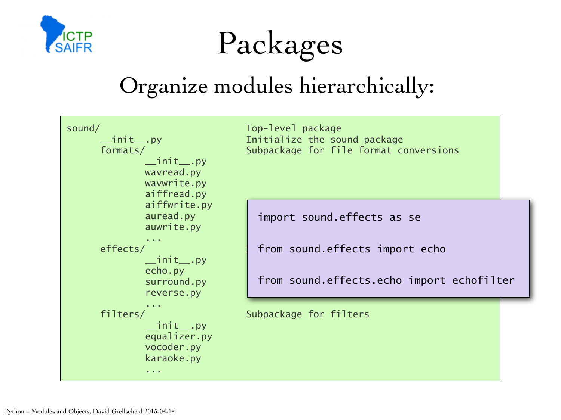



#### Organize modules hierarchically:

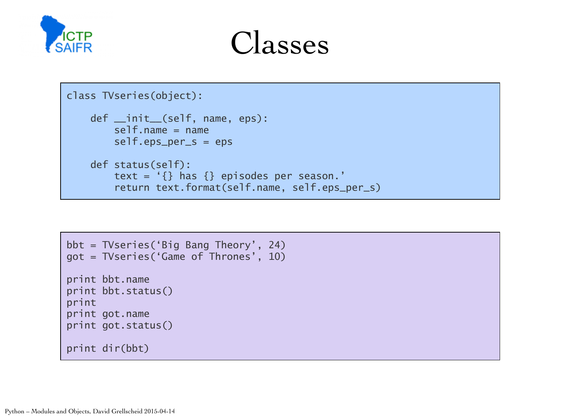



```
class TVseries(object): 
     def __init__(self, name, eps): 
         self.name = name 
         self.eps_per_s = eps 
     def status(self): 
         text = '{} has {} episodes per season.' 
         return text.format(self.name, self.eps_per_s)
```

```
bbt = TVseries('Big Bang Theory', 24) 
got = TVseries('Game of Thrones', 10) 
print bbt.name 
print bbt.status() 
print 
print got.name 
print got.status() 
print dir(bbt)
```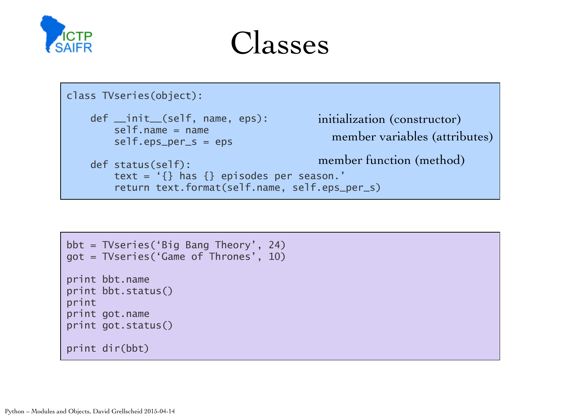

#### Classes

```
class TVseries(object): 
     def __init__(self, name, eps): 
         self.name = name 
         self.eps_per_s = eps 
     def status(self): 
         text = '{} has {} episodes per season.' 
         return text.format(self.name, self.eps_per_s)
                                             initialization (constructor)
                                                member variables (attributes)
                                             member function (method)
```

```
bbt = TVseries('Big Bang Theory', 24) 
got = TVseries('Game of Thrones', 10) 
print bbt.name 
print bbt.status() 
print 
print got.name 
print got.status() 
print dir(bbt)
```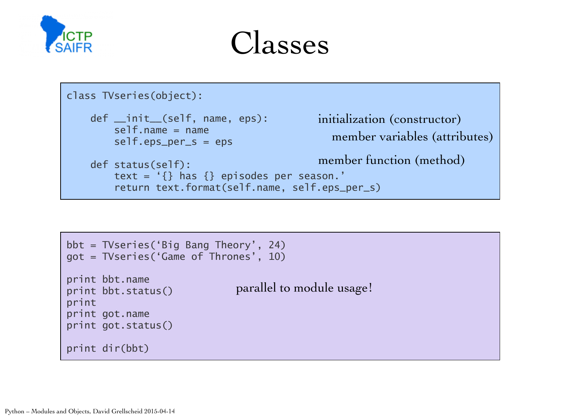

#### Classes

```
class TVseries(object): 
     def __init__(self, name, eps): 
         self.name = name 
         self.eps_per_s = eps 
     def status(self): 
         text = '{} has {} episodes per season.' 
         return text.format(self.name, self.eps_per_s)
                                             initialization (constructor)
                                                member variables (attributes)
                                             member function (method)
```

```
bbt = TVseries('Big Bang Theory', 24) 
got = TVseries('Game of Thrones', 10) 
print bbt.name 
print bbt.status() 
print 
print got.name 
print got.status() 
print dir(bbt)
                              parallel to module usage!
```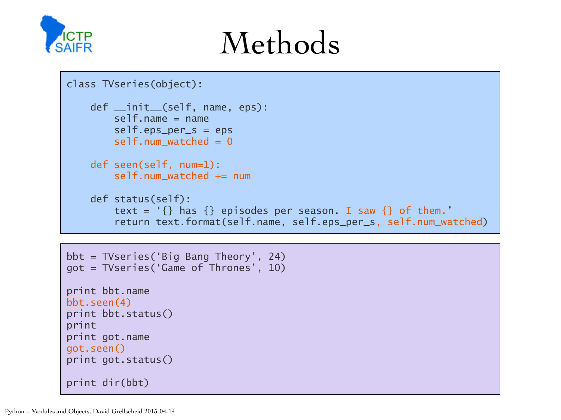

### Methods

```
class TVseries(object): 
     def __init__(self, name, eps): 
        self.name = name self.eps_per_s = eps 
        self.num_watched = 0 def seen(self, num=1): 
         self.num_watched += num 
     def status(self): 
        text = '{} has {} episodes per season. I saw {} of them.'
         return text.format(self.name, self.eps_per_s, self.num_watched)
```

```
bbt = TVseries('Big Bang Theory', 24) 
got = TVseries('Game of Thrones', 10) 
print bbt.name 
bbt.seen(4) 
print bbt.status() 
print 
print got.name 
got.seen() 
print got.status() 
print dir(bbt)
```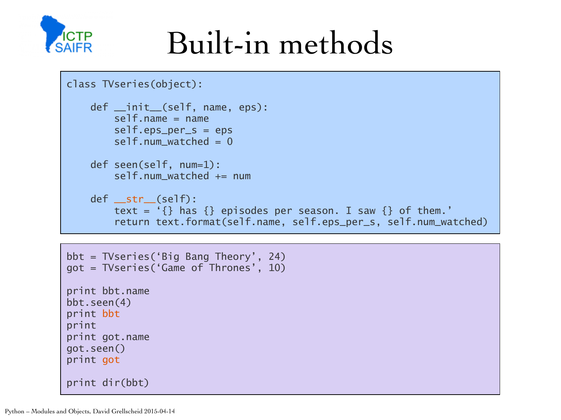

### Built-in methods

```
class TVseries(object): 
     def __init__(self, name, eps): 
        self.name = name self.eps_per_s = eps 
        self.num_watched = 0
     def seen(self, num=1): 
        self.num watched += num
     def __str__(self): 
        text = '{} has {} episodes per season. I saw {} of them.'
         return text.format(self.name, self.eps_per_s, self.num_watched)
```

```
bbt = TVseries('Big Bang Theory', 24) 
got = TVseries('Game of Thrones', 10) 
print bbt.name 
bbt.seen(4) 
print bbt
print 
print got.name 
got.seen() 
print got
print dir(bbt)
```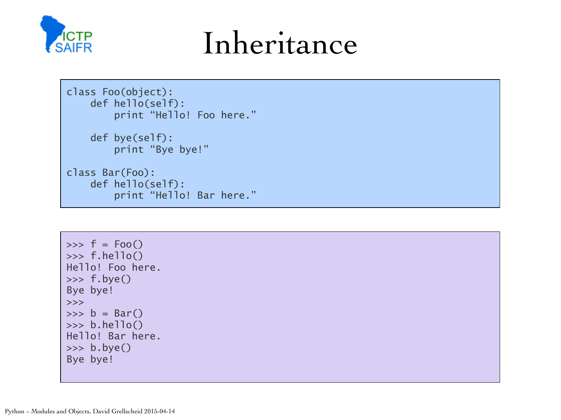

### Inheritance

```
class Foo(object): 
     def hello(self): 
          print "Hello! Foo here."
```

```
 def bye(self): 
     print "Bye bye!"
```

```
class Bar(Foo): 
     def hello(self): 
          print "Hello! Bar here."
```

```
\Rightarrow \Rightarrow f = Foo()>>> f.hello() 
Hello! Foo here. 
>>> f.bye() 
Bye bye! 
>>> 
\Rightarrow b = Bar()
>>> b.hello() 
Hello! Bar here. 
>>> b.bye() 
Bye bye!
```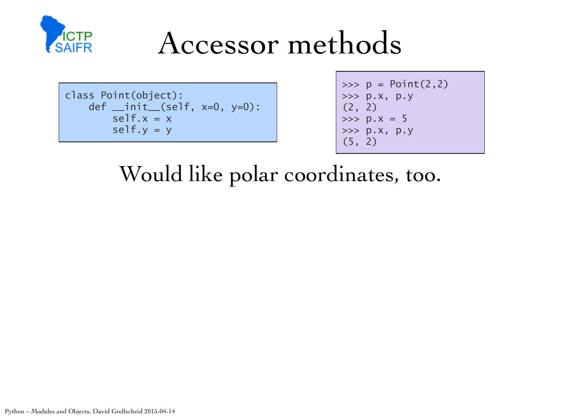

class Point(object): def \_\_init\_\_(self, x=0, y=0):  $self.x = x$  $self.y = y$ 

 $\gg$   $>$   $p = Point(2, 2)$ >>> p.x, p.y  $(2, 2)$  $\gg$   $>$   $p.x = 5$ >>> p.x, p.y (5, 2)

Would like polar coordinates, too.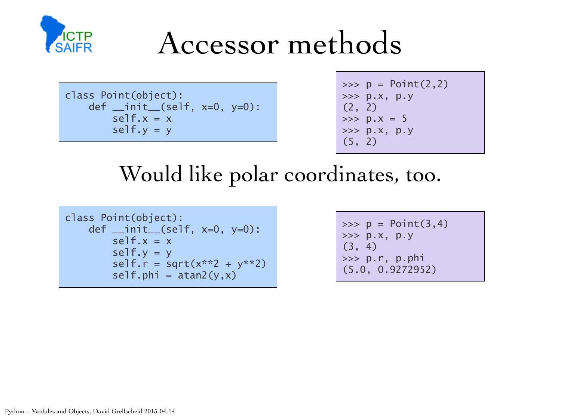

class Point(object): def \_\_init\_\_(self, x=0, y=0):  $self.x = x$  $self.y = y$ 

 $\implies p = Point(2, 2)$ >>> p.x, p.y (2, 2)  $\gg$   $\frac{1}{2}$  p. x = 5 >>> p.x, p.y (5, 2)

Would like polar coordinates, too.

```
class Point(object): 
     def __init__(self, x=0, y=0): 
        self.x = xself.y = yself.r = sqrt(x**2 + y**2)self.phi = \text{atan2}(y, x)
```
 $\implies p = Point(3, 4)$ >>> p.x, p.y (3, 4) >>> p.r, p.phi (5.0, 0.9272952)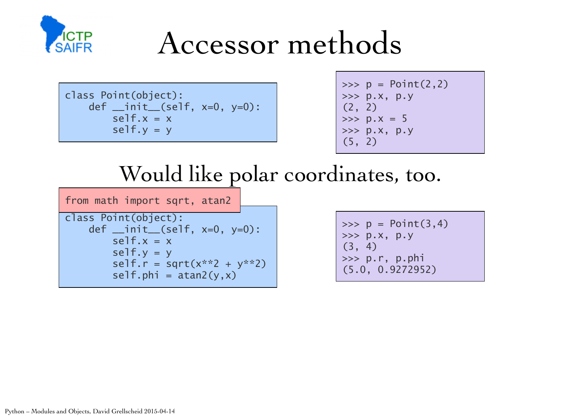

class Point(object): def \_\_init\_\_(self, x=0, y=0):  $self.x = x$  $self.y = y$ 

 $\implies p = Point(2, 2)$ >>> p.x, p.y (2, 2)  $\gg$   $\frac{1}{2}$  p.  $x = 5$ >>> p.x, p.y (5, 2)

#### Would like polar coordinates, too.

from math import sqrt, atan2

```
class Point(object): 
    def _{\text{init}}(self, x=0, y=0):
         self.x = xself.y = yself.r = sqrt(x**2 + y**2)
         self.phi = \frac{atan2(y, x)}{}
```
 $\implies p = Point(3, 4)$ >>> p.x, p.y (3, 4) >>> p.r, p.phi (5.0, 0.9272952)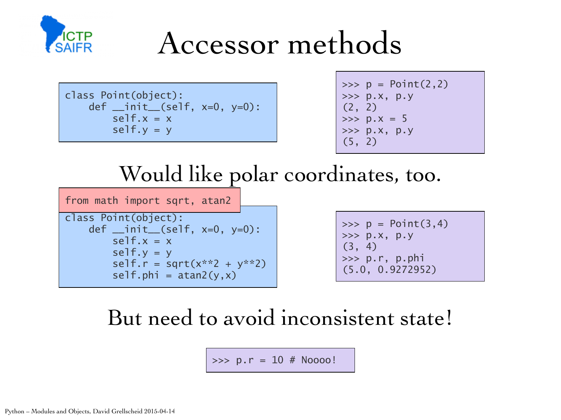

class Point(object): def  $_{\_}init_{\_} (self, x=0, y=0)$ :  $self.x = x$  $self.y = y$ 

 $\Rightarrow$   $\Rightarrow$   $p = Point(2, 2)$ >>> p.x, p.y (2, 2)  $\gg$   $\frac{1}{2}$  p. x = 5 >>> p.x, p.y (5, 2)

#### Would like polar coordinates, too.

from math import sqrt, atan2

class Point(object): def \_\_init\_\_(self, x=0, y=0):  $self.x = x$  $self.y = y$ self.r = sqrt( $x**2 + y**2$ )  $self.phi = \frac{atan2(y, x)}{}$ 

 $\implies p = Point(3, 4)$ >>> p.x, p.y (3, 4) >>> p.r, p.phi (5.0, 0.9272952)

#### But need to avoid inconsistent state!

 $\gg$  p.r = 10 # Noooo!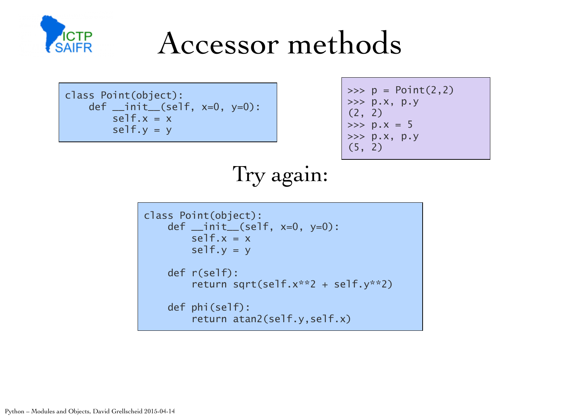

```
class Point(object): 
     def __init__(self, x=0, y=0): 
        self.x = xself.y = y
```

```
\implies p = Point(2, 2)>>> p.x, p.y 
(2, 2) 
\gg \frac{1}{2} p. x = 5>>> p.x, p.y 
(5, 2)
```
#### Try again:

```
class Point(object): 
     def __init__(self, x=0, y=0): 
        self.x = xself.y = y def r(self): 
         return sqrt(self.x**2 + self.y**2) 
     def phi(self): 
         return atan2(self.y,self.x)
```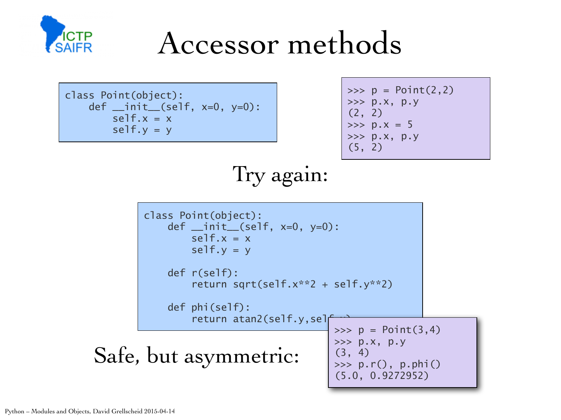

class Point(object): def \_\_init\_\_(self, x=0, y=0):  $self.x = x$  $self.y = y$ 

>>> p = Point(2,2) >>> p.x, p.y (2, 2) >>> p.x = 5 >>> p.x, p.y (5, 2)

Try again:

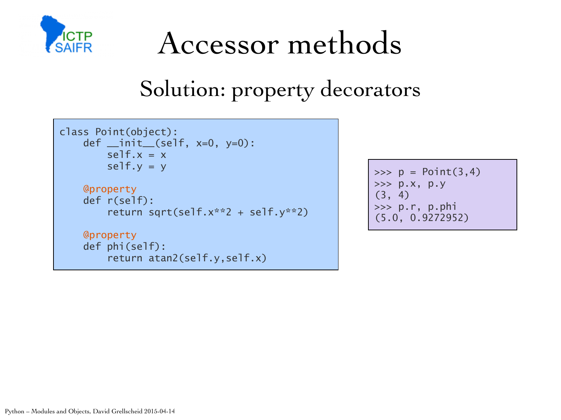

#### Solution: property decorators

```
class Point(object): 
    def _{\_}init_{\_} (self, x=0, y=0):
        self.x = xself.y = y @property 
     def r(self): 
         return sqrt(self.x**2 + self.y**2) 
     @property
     def phi(self): 
          return atan2(self.y,self.x)
```
 $\implies p = Point(3, 4)$ >>> p.x, p.y (3, 4) >>> p.r, p.phi (5.0, 0.9272952)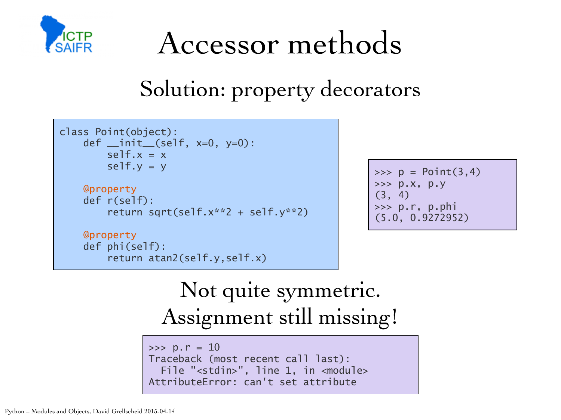

#### Solution: property decorators

```
class Point(object): 
     def __init__(self, x=0, y=0): 
        self.x = xself.y = y @property 
     def r(self): 
         return sqrt(self.x**2 + self.y**2) 
     @property
```
return atan2(self.y,self.x)

```
\gg > p = Point(3, 4)>>> p.x, p.y 
(3, 4) 
>>> p.r, p.phi 
(5.0, 0.9272952)
```
#### Not quite symmetric. Assignment still missing!

```
\gg p.r = 10
Traceback (most recent call last): 
  File "<stdin>", line 1, in <module>
AttributeError: can't set attribute
```
def phi(self):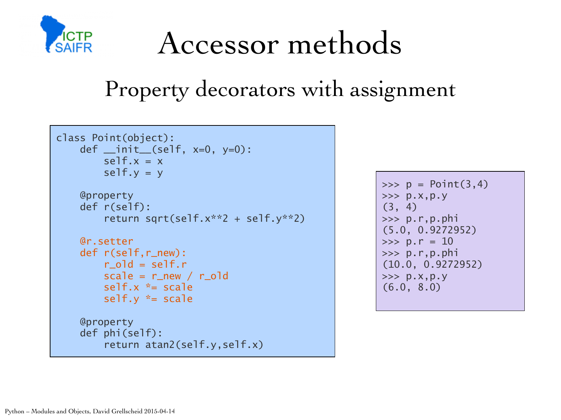

#### Property decorators with assignment

```
class Point(object): 
     def __init__(self, x=0, y=0): 
         self.x = xself.y = y @property 
     def r(self): 
          return sqrt(self.x**2 + self.y**2) 
     @r.setter 
     def r(self,r_new): 
         r<sup>o</sup>ld = self.r
        scale = r_new / r_oldself.x * = scale self.y *= scale 
     @property 
     def phi(self): 
          return atan2(self.y,self.x)
```
 $\implies p = Point(3, 4)$  $>>$  p.x,p.y (3, 4) >>> p.r,p.phi (5.0, 0.9272952)  $\gg$  p.r = 10 >>> p.r,p.phi (10.0, 0.9272952)  $>>$  p.x,p.y (6.0, 8.0)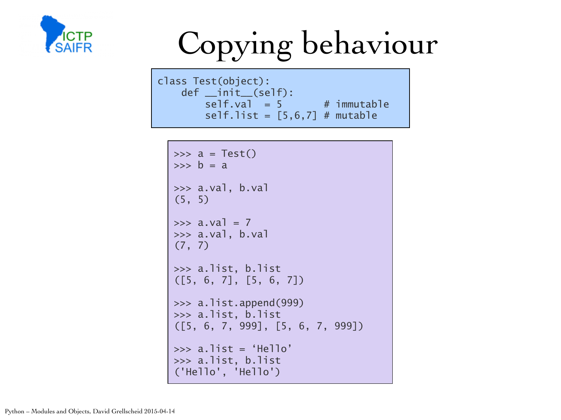

# Copying behaviour

class Test(object): def \_\_init\_\_(self):  $self.val = 5$  # immutable self.list =  $[5,6,7]$  # mutable

```
\Rightarrow a = Test()
\Rightarrow \Rightarrow \phi = a>>> a.val, b.val 
(5, 5) 
\gg a.val = 7
>>> a.val, b.val 
(7, 7) 
>>> a.list, b.list 
([5, 6, 7], [5, 6, 7]) 
>>> a.list.append(999) 
>>> a.list, b.list 
([5, 6, 7, 999], [5, 6, 7, 999]) 
\gg a.list = 'Hello'
>>> a.list, b.list 
('Hello', 'Hello')
```